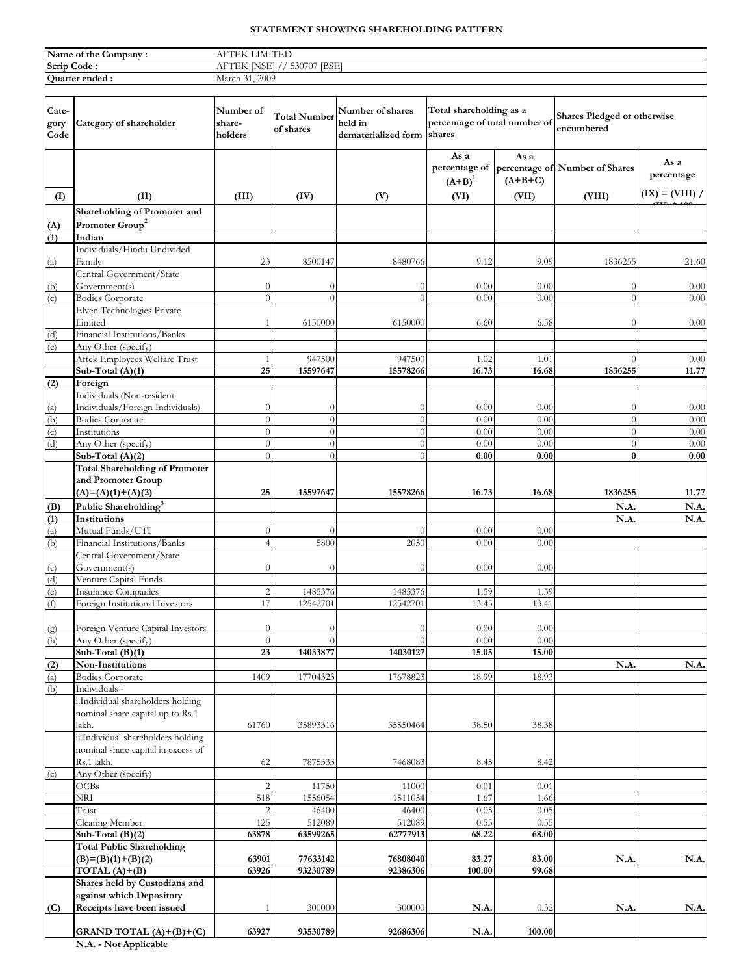## **STATEMENT SHOWING SHAREHOLDING PATTERN**

| Name of the C<br>Company: | <b>IMITED</b>                                                                                    |
|---------------------------|--------------------------------------------------------------------------------------------------|
| Scrip Code:               | <b>IBSEI</b><br><b>BLICK</b><br>530707<br>$\triangle$ NOEI $\triangle$<br>$\Delta \Gamma$ .<br>. |
| Quarter ended:            | 2009<br>March                                                                                    |

| Cate-<br>gory<br>Code | Category of shareholder                                  | Number of<br>share-<br>holders | <b>Total Number</b><br>of shares | Number of shares<br>held in<br>dematerialized form shares | Total shareholding as a<br>percentage of total number of |                   | Shares Pledged or otherwise<br>encumbered |                    |
|-----------------------|----------------------------------------------------------|--------------------------------|----------------------------------|-----------------------------------------------------------|----------------------------------------------------------|-------------------|-------------------------------------------|--------------------|
|                       |                                                          |                                |                                  |                                                           | As a<br>percentage of<br>$(A+B)^1$                       | As a<br>$(A+B+C)$ | percentage of Number of Shares            | As a<br>percentage |
| (I)                   | (II)                                                     | (III)                          | (IV)                             | (V)                                                       | (VI)                                                     | (VII)             | (VIII)                                    | $(IX) = (VIII) /$  |
|                       | Shareholding of Promoter and                             |                                |                                  |                                                           |                                                          |                   |                                           |                    |
| (A)                   | Promoter Group <sup>2</sup>                              |                                |                                  |                                                           |                                                          |                   |                                           |                    |
| (1)                   | Indian                                                   |                                |                                  |                                                           |                                                          |                   |                                           |                    |
|                       | Individuals/Hindu Undivided                              |                                |                                  |                                                           |                                                          |                   |                                           |                    |
| (a)                   | Family                                                   | 23                             | 8500147                          | 8480766                                                   | 9.12                                                     | 9.09              | 1836255                                   | 21.60              |
|                       | Central Government/State                                 |                                |                                  |                                                           |                                                          |                   |                                           |                    |
| (b)<br>(c)            | Government(s)<br><b>Bodies Corporate</b>                 | $\theta$<br>$\Omega$           | $\theta$<br>$\theta$             | $\theta$<br>$\theta$                                      | 0.00<br>0.00                                             | 0.00<br>0.00      | $\theta$<br>$\theta$                      | 0.00<br>0.00       |
|                       | Elven Technologies Private                               |                                |                                  |                                                           |                                                          |                   |                                           |                    |
|                       | Limited                                                  |                                | 6150000                          | 6150000                                                   | 6.60                                                     | 6.58              | $\theta$                                  | 0.00               |
| (d)                   | Financial Institutions/Banks                             |                                |                                  |                                                           |                                                          |                   |                                           |                    |
| (e)                   | Any Other (specify)                                      |                                |                                  |                                                           |                                                          |                   |                                           |                    |
|                       | Aftek Employees Welfare Trust                            |                                | 947500                           | 947500                                                    | 1.02                                                     | 1.01              | $\Omega$                                  | 0.00               |
|                       | Sub-Total (A)(1)                                         | 25                             | 15597647                         | 15578266                                                  | 16.73                                                    | 16.68             | 1836255                                   | 11.77              |
| (2)                   | Foreign                                                  |                                |                                  |                                                           |                                                          |                   |                                           |                    |
|                       | Individuals (Non-resident                                |                                |                                  |                                                           |                                                          |                   |                                           |                    |
| (a)                   | Individuals/Foreign Individuals)                         | 0                              | $\Omega$                         | $\Omega$                                                  | 0.00                                                     | 0.00              | $\theta$                                  | 0.00               |
| (b)                   | <b>Bodies Corporate</b>                                  | $\overline{0}$                 | $\theta$                         | $\theta$                                                  | 0.00                                                     | 0.00              | $\theta$                                  | 0.00               |
| (c)<br>(d)            | Institutions<br>Any Other (specify)                      | $\theta$<br>$\theta$           | $\Omega$<br>$\overline{0}$       | $\theta$<br>$\theta$                                      | 0.00<br>0.00                                             | 0.00<br>0.00      | $\theta$<br>$\theta$                      | 0.00<br>0.00       |
|                       | Sub-Total (A)(2)                                         | $\theta$                       | $\theta$                         | $\Omega$                                                  | 0.00                                                     | 0.00              | $\bf{0}$                                  | 0.00               |
|                       | <b>Total Shareholding of Promoter</b>                    |                                |                                  |                                                           |                                                          |                   |                                           |                    |
|                       | and Promoter Group                                       |                                |                                  |                                                           |                                                          |                   |                                           |                    |
|                       | $(A)=(A)(1)+(A)(2)$                                      | 25                             | 15597647                         | 15578266                                                  | 16.73                                                    | 16.68             | 1836255                                   | 11.77              |
| (B)                   | Public Shareholding <sup>3</sup>                         |                                |                                  |                                                           |                                                          |                   | N.A                                       | N.A.               |
| (1)                   | Institutions                                             |                                |                                  |                                                           |                                                          |                   | N.A                                       | N.A.               |
| (a)                   | Mutual Funds/UTI                                         | $\theta$                       | $\theta$                         | $\Omega$                                                  | 0.00                                                     | 0.00              |                                           |                    |
| (b)                   | Financial Institutions/Banks                             | $\overline{4}$                 | 5800                             | 2050                                                      | 0.00                                                     | 0.00              |                                           |                    |
|                       | Central Government/State                                 |                                |                                  |                                                           |                                                          |                   |                                           |                    |
| (c)                   | Government(s)                                            | $\theta$                       | $\theta$                         | $\theta$                                                  | 0.00                                                     | 0.00              |                                           |                    |
| (d)                   | Venture Capital Funds                                    |                                |                                  |                                                           |                                                          |                   |                                           |                    |
| (e)                   | <b>Insurance Companies</b>                               | 2                              | 1485376                          | 1485376                                                   | 1.59                                                     | 1.59              |                                           |                    |
| (f)                   | Foreign Institutional Investors                          | 17                             | 12542701                         | 12542701                                                  | 13.45                                                    | 13.41             |                                           |                    |
|                       |                                                          | $\theta$                       | $\left($                         | $\theta$                                                  | 0.00                                                     |                   |                                           |                    |
| (g)<br>(h)            | Foreign Venture Capital Investors<br>Any Other (specify) | $\theta$                       | $\theta$                         | $\theta$                                                  | 0.00                                                     | 0.00<br>0.00      |                                           |                    |
|                       | Sub-Total $(B)(1)$                                       | 23                             | 14033877                         | 14030127                                                  | 15.05                                                    | 15.00             |                                           |                    |
| (2)                   | Non-Institutions                                         |                                |                                  |                                                           |                                                          |                   | N.A.                                      | N.A.               |
| (a)                   | Bodies Corporate                                         | 1409                           | 17704323                         | 17678823                                                  | 18.99                                                    | 18.93             |                                           |                    |
| (b)                   | Individuals -                                            |                                |                                  |                                                           |                                                          |                   |                                           |                    |
|                       | i.Individual shareholders holding                        |                                |                                  |                                                           |                                                          |                   |                                           |                    |
|                       | nominal share capital up to Rs.1                         |                                |                                  |                                                           |                                                          |                   |                                           |                    |
|                       | lakh.                                                    | 61760                          | 35893316                         | 35550464                                                  | 38.50                                                    | 38.38             |                                           |                    |
|                       | ii.Individual shareholders holding                       |                                |                                  |                                                           |                                                          |                   |                                           |                    |
|                       | nominal share capital in excess of<br>Rs.1 lakh.         | 62                             | 7875333                          | 7468083                                                   | 8.45                                                     | 8.42              |                                           |                    |
| (c)                   | Any Other (specify)                                      |                                |                                  |                                                           |                                                          |                   |                                           |                    |
|                       | OCBs                                                     |                                | 11750                            | 11000                                                     | 0.01                                                     | 0.01              |                                           |                    |
|                       | NRI                                                      | 518                            | 1556054                          | 1511054                                                   | 1.67                                                     | 1.66              |                                           |                    |
|                       | Trust                                                    |                                | 46400                            | 46400                                                     | 0.05                                                     | 0.05              |                                           |                    |
|                       | Clearing Member                                          | 125                            | 512089                           | 512089                                                    | 0.55                                                     | 0.55              |                                           |                    |
|                       | Sub-Total $(B)(2)$                                       | 63878                          | 63599265                         | 62777913                                                  | 68.22                                                    | 68.00             |                                           |                    |
|                       | <b>Total Public Shareholding</b>                         |                                |                                  |                                                           |                                                          |                   |                                           |                    |
|                       | $(B)=(B)(1)+(B)(2)$                                      | 63901                          | 77633142                         | 76808040                                                  | 83.27                                                    | 83.00             | N.A.                                      | N.A.               |
|                       | TOTAL $(A)+(B)$                                          | 63926                          | 93230789                         | 92386306                                                  | 100.00                                                   | 99.68             |                                           |                    |
|                       | Shares held by Custodians and                            |                                |                                  |                                                           |                                                          |                   |                                           |                    |
|                       | against which Depository                                 |                                |                                  |                                                           |                                                          |                   |                                           |                    |
| (C)                   | Receipts have been issued                                |                                | 300000                           | 300000                                                    | N.A.                                                     | 0.32              | N.A.                                      | N.A.               |
|                       | GRAND TOTAL $(A)+(B)+(C)$                                | 63927                          | 93530789                         | 92686306                                                  | N.A.                                                     | 100.00            |                                           |                    |
|                       |                                                          |                                |                                  |                                                           |                                                          |                   |                                           |                    |

**N.A. - Not Applicable**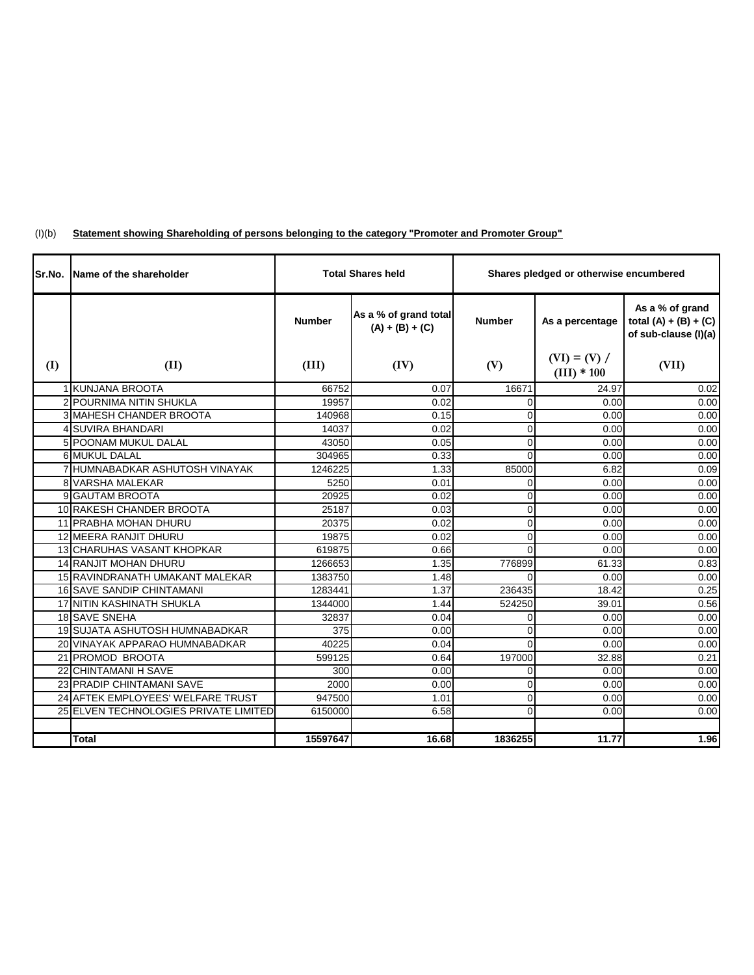| (I)(b) | "Statement showing Shareholding of persons belonging to the category "Promoter and Promoter Group" |  |
|--------|----------------------------------------------------------------------------------------------------|--|
|        |                                                                                                    |  |

| Sr.No. | Name of the shareholder               |               | <b>Total Shares held</b>                   | Shares pledged or otherwise encumbered |                                 |                                                                    |
|--------|---------------------------------------|---------------|--------------------------------------------|----------------------------------------|---------------------------------|--------------------------------------------------------------------|
|        |                                       | <b>Number</b> | As a % of grand total<br>$(A) + (B) + (C)$ | <b>Number</b>                          | As a percentage                 | As a % of grand<br>total $(A) + (B) + (C)$<br>of sub-clause (I)(a) |
| (I)    | (II)                                  | (III)         | (IV)                                       | (V)                                    | $(VI) = (V) /$<br>$(III) * 100$ | (VII)                                                              |
|        | 1 KUNJANA BROOTA                      | 66752         | 0.07                                       | 16671                                  | 24.97                           | 0.02                                                               |
|        | 2 POURNIMA NITIN SHUKLA               | 19957         | 0.02                                       | $\Omega$                               | 0.00                            | 0.00                                                               |
|        | 3 MAHESH CHANDER BROOTA               | 140968        | 0.15                                       | 0                                      | 0.00                            | 0.00                                                               |
|        | 4 SUVIRA BHANDARI                     | 14037         | 0.02                                       | $\overline{0}$                         | 0.00                            | 0.00                                                               |
|        | 5 POONAM MUKUL DALAL                  | 43050         | 0.05                                       | 0                                      | 0.00                            | 0.00                                                               |
|        | 6 MUKUL DALAL                         | 304965        | 0.33                                       | $\Omega$                               | 0.00                            | 0.00                                                               |
|        | 7 HUMNABADKAR ASHUTOSH VINAYAK        | 1246225       | 1.33                                       | 85000                                  | 6.82                            | 0.09                                                               |
|        | 8 VARSHA MALEKAR                      | 5250          | 0.01                                       | $\Omega$                               | 0.00                            | 0.00                                                               |
|        | 9 GAUTAM BROOTA                       | 20925         | 0.02                                       | $\mathbf 0$                            | 0.00                            | 0.00                                                               |
|        | 10 RAKESH CHANDER BROOTA              | 25187         | 0.03                                       | $\Omega$                               | 0.00                            | 0.00                                                               |
|        | 11 PRABHA MOHAN DHURU                 | 20375         | 0.02                                       | $\mathbf 0$                            | 0.00                            | 0.00                                                               |
|        | 12 MEERA RANJIT DHURU                 | 19875         | 0.02                                       | $\Omega$                               | 0.00                            | 0.00                                                               |
|        | <b>13 CHARUHAS VASANT KHOPKAR</b>     | 619875        | 0.66                                       | $\Omega$                               | 0.00                            | 0.00                                                               |
|        | 14 RANJIT MOHAN DHURU                 | 1266653       | 1.35                                       | 776899                                 | 61.33                           | 0.83                                                               |
|        | 15 RAVINDRANATH UMAKANT MALEKAR       | 1383750       | 1.48                                       | $\Omega$                               | 0.00                            | 0.00                                                               |
|        | 16 SAVE SANDIP CHINTAMANI             | 1283441       | 1.37                                       | 236435                                 | 18.42                           | 0.25                                                               |
|        | 17 NITIN KASHINATH SHUKLA             | 1344000       | 1.44                                       | 524250                                 | 39.01                           | 0.56                                                               |
|        | 18 SAVE SNEHA                         | 32837         | 0.04                                       | $\Omega$                               | 0.00                            | 0.00                                                               |
|        | 19 SUJATA ASHUTOSH HUMNABADKAR        | 375           | 0.00                                       | $\Omega$                               | 0.00                            | 0.00                                                               |
|        | 20 VINAYAK APPARAO HUMNABADKAR        | 40225         | 0.04                                       | $\Omega$                               | 0.00                            | 0.00                                                               |
|        | 21 PROMOD BROOTA                      | 599125        | 0.64                                       | 197000                                 | 32.88                           | 0.21                                                               |
|        | 22 CHINTAMANI H SAVE                  | 300           | 0.00                                       | 0                                      | 0.00                            | 0.00                                                               |
|        | 23 PRADIP CHINTAMANI SAVE             | 2000          | 0.00                                       | $\Omega$                               | 0.00                            | 0.00                                                               |
|        | 24 AFTEK EMPLOYEES' WELFARE TRUST     | 947500        | 1.01                                       | $\mathbf 0$                            | 0.00                            | 0.00                                                               |
|        | 25 ELVEN TECHNOLOGIES PRIVATE LIMITED | 6150000       | 6.58                                       | $\Omega$                               | 0.00                            | 0.00                                                               |
|        |                                       |               |                                            |                                        |                                 |                                                                    |
|        | Total                                 | 15597647      | 16.68                                      | 1836255                                | 11.77                           | 1.96                                                               |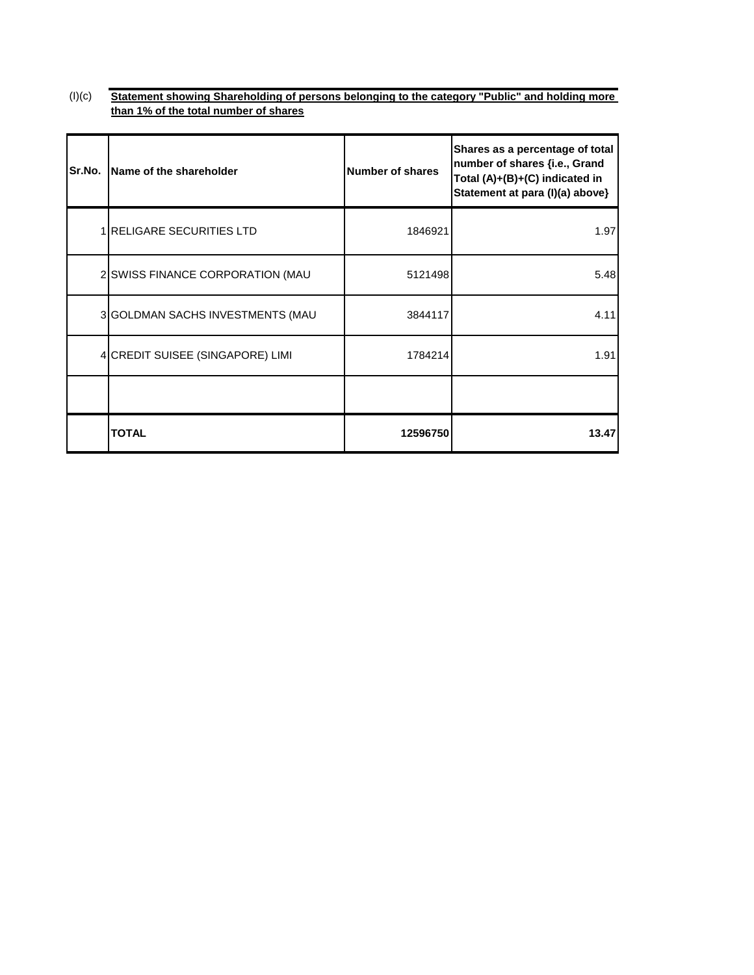$(l)(c)$ **Statement showing Shareholding of persons belonging to the category "Public" and holding more than 1% of the total number of shares**

| Sr.No. | Name of the shareholder          | <b>Number of shares</b> | Shares as a percentage of total<br>number of shares {i.e., Grand<br>Total (A)+(B)+(C) indicated in<br>Statement at para (I)(a) above} |
|--------|----------------------------------|-------------------------|---------------------------------------------------------------------------------------------------------------------------------------|
|        | 1 RELIGARE SECURITIES LTD        | 1846921                 | 1.97                                                                                                                                  |
|        | 2 SWISS FINANCE CORPORATION (MAU | 5121498                 | 5.48                                                                                                                                  |
|        | 3 GOLDMAN SACHS INVESTMENTS (MAU | 3844117                 | 4.11                                                                                                                                  |
|        | 4 CREDIT SUISEE (SINGAPORE) LIMI | 1784214                 | 1.91                                                                                                                                  |
|        |                                  |                         |                                                                                                                                       |
|        | <b>TOTAL</b>                     | 12596750                | 13.47                                                                                                                                 |